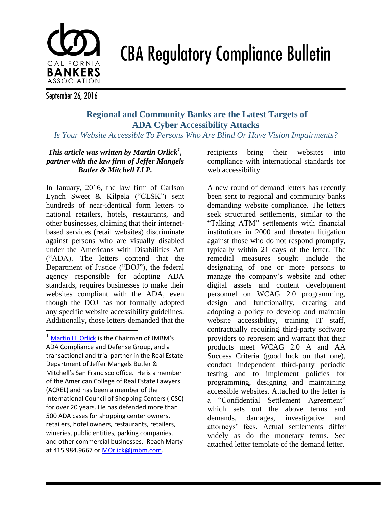# CALIFORNIA **BANKERS ASSOCIATION**

**CBA Regulatory Compliance Bulletin** 

September 26, 2016

l

## **Regional and Community Banks are the Latest Targets of ADA Cyber Accessibility Attacks**

*Is Your Website Accessible To Persons Who Are Blind Or Have Vision Impairments?*

#### *This article was written by Martin Orlick<sup>1</sup> , partner with the law firm of Jeffer Mangels Butler & Mitchell LLP.*

In January, 2016, the law firm of Carlson Lynch Sweet & Kilpela ("CLSK") sent hundreds of near-identical form letters to national retailers, hotels, restaurants, and other businesses, claiming that their internetbased services (retail websites) discriminate against persons who are visually disabled under the Americans with Disabilities Act ("ADA). The letters contend that the Department of Justice ("DOJ"), the federal agency responsible for adopting ADA standards, requires businesses to make their websites compliant with the ADA, even though the DOJ has not formally adopted any specific website accessibility guidelines. Additionally, those letters demanded that the

 $<sup>1</sup>$  [Martin H. Orlick](http://www.jmbm.com/martin-h-orlick.html) is the Chairman of JMBM's</sup> ADA Compliance and Defense Group, and a transactional and trial partner in the Real Estate Department of Jeffer Mangels Butler & Mitchell's San Francisco office. He is a member of the American College of Real Estate Lawyers (ACREL) and has been a member of the International Council of Shopping Centers (ICSC) for over 20 years. He has defended more than 500 ADA cases for shopping center owners, retailers, hotel owners, restaurants, retailers, wineries, public entities, parking companies, and other commercial businesses. Reach Marty at 415.984.9667 or [MOrlick@jmbm.com.](mailto:MOrlick@jmbm.com)

recipients bring their websites into compliance with international standards for web accessibility.

A new round of demand letters has recently been sent to regional and community banks demanding website compliance. The letters seek structured settlements, similar to the "Talking ATM" settlements with financial institutions in 2000 and threaten litigation against those who do not respond promptly, typically within 21 days of the letter. The remedial measures sought include the designating of one or more persons to manage the company's website and other digital assets and content development personnel on WCAG 2.0 programming, design and functionality, creating and adopting a policy to develop and maintain website accessibility, training IT staff, contractually requiring third-party software providers to represent and warrant that their products meet WCAG 2.0 A and AA Success Criteria (good luck on that one), conduct independent third-party periodic testing and to implement policies for programming, designing and maintaining accessible websites. Attached to the letter is a "Confidential Settlement Agreement" which sets out the above terms and demands, damages, investigative and attorneys' fees. Actual settlements differ widely as do the monetary terms. See attached letter template of the demand letter.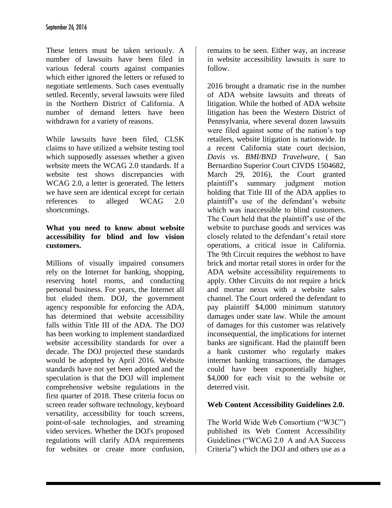These letters must be taken seriously. A number of lawsuits have been filed in various federal courts against companies which either ignored the letters or refused to negotiate settlements. Such cases eventually settled. Recently, several lawsuits were filed in the Northern District of California. A number of demand letters have been withdrawn for a variety of reasons.

While lawsuits have been filed, CLSK claims to have utilized a website testing tool which supposedly assesses whether a given website meets the WCAG 2.0 standards. If a website test shows discrepancies with WCAG 2.0, a letter is generated. The letters we have seen are identical except for certain references to alleged WCAG 2.0 shortcomings.

#### **What you need to know about website accessibility for blind and low vision customers.**

Millions of visually impaired consumers rely on the Internet for banking, shopping, reserving hotel rooms, and conducting personal business. For years, the Internet all but eluded them. DOJ, the government agency responsible for enforcing the ADA, has determined that website accessibility falls within Title III of the ADA. The DOJ has been working to implement standardized website accessibility standards for over a decade. The DOJ projected these standards would be adopted by April 2016. Website standards have not yet been adopted and the speculation is that the DOJ will implement comprehensive website regulations in the first quarter of 2018. These criteria focus on screen reader software technology, keyboard versatility, accessibility for touch screens, point-of-sale technologies, and streaming video services. Whether the DOJ's proposed regulations will clarify ADA requirements for websites or create more confusion,

remains to be seen. Either way, an increase in website accessibility lawsuits is sure to follow.

2016 brought a dramatic rise in the number of ADA website lawsuits and threats of litigation. While the hotbed of ADA website litigation has been the Western District of Pennsylvania, where several dozen lawsuits were filed against some of the nation's top retailers, website litigation is nationwide. In a recent California state court decision, *Davis vs. BMI/BND Travelware*, ( San Bernardino Superior Court CIVDS 1504682, March 29, 2016), the Court granted plaintiff's summary judgment motion holding that Title III of the ADA applies to plaintiff's use of the defendant's website which was inaccessible to blind customers. The Court held that the plaintiff's use of the website to purchase goods and services was closely related to the defendant's retail store operations, a critical issue in California. The 9th Circuit requires the webhost to have brick and mortar retail stores in order for the ADA website accessibility requirements to apply. Other Circuits do not require a brick and mortar nexus with a website sales channel. The Court ordered the defendant to pay plaintiff \$4,000 minimum statutory damages under state law. While the amount of damages for this customer was relatively inconsequential, the implications for internet banks are significant. Had the plaintiff been a bank customer who regularly makes internet banking transactions, the damages could have been exponentially higher, \$4,000 for each visit to the website or deterred visit.

### **Web Content Accessibility Guidelines 2.0.**

The World Wide Web Consortium ("W3C") published its Web Content Accessibility Guidelines ("WCAG 2.0 A and AA Success Criteria") which the DOJ and others use as a